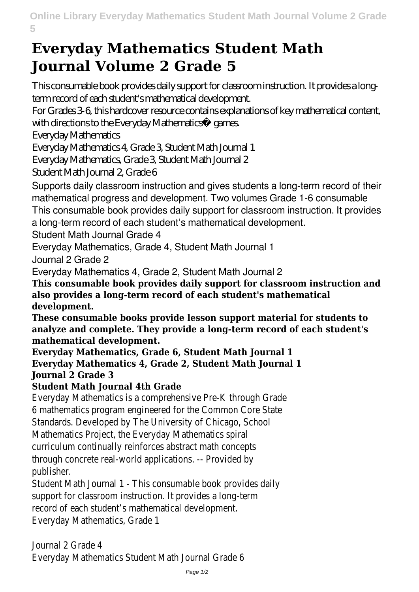## **Everyday Mathematics Student Math Journal Volume 2 Grade 5**

This consumable book provides daily support for classroom instruction. It provides a longterm record of each student's mathematical development. For Grades 3-6, this hardcover resource contains explanations of key mathematical content, with directions to the Everyday Mathematics® games. Everyday Mathematics Everyday Mathematics 4, Grade 3, Student Math Journal 1 Everyday Mathematics, Grade 3, Student Math Journal 2 Student Math Journal 2, Grade 6 Supports daily classroom instruction and gives students a long-term record of their mathematical progress and development. Two volumes Grade 1-6 consumable This consumable book provides daily support for classroom instruction. It provides a long-term record of each student's mathematical development. Student Math Journal Grade 4 Everyday Mathematics, Grade 4, Student Math Journal 1 Journal 2 Grade 2 Everyday Mathematics 4, Grade 2, Student Math Journal 2 **This consumable book provides daily support for classroom instruction and also provides a long-term record of each student's mathematical development. These consumable books provide lesson support material for students to analyze and complete. They provide a long-term record of each student's mathematical development. Everyday Mathematics, Grade 6, Student Math Journal 1 Everyday Mathematics 4, Grade 2, Student Math Journal 1 Journal 2 Grade 3 Student Math Journal 4th Grade** Everyday Mathematics is a compre 6 mathematics program engineered Standards. Developed by The U Mathematics Project, the Every curriculum continually reinforce through concrete real-world a publis Student Math Journal 1 - This consumed by support for classroom instruction.

record of each student's mathematical

Everyday Mather

Journal 2 Everyday Mathematics Stud